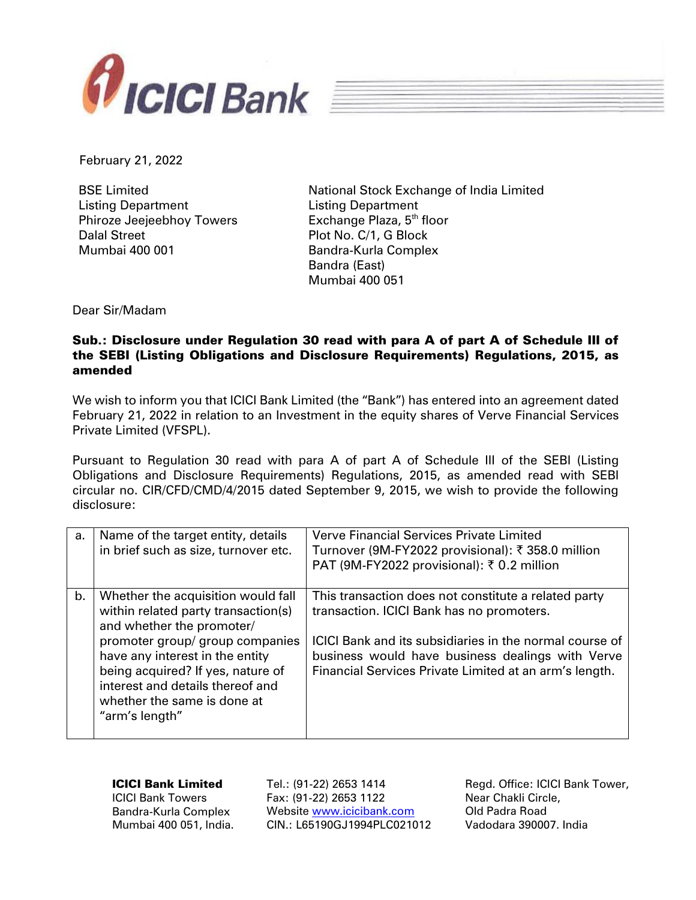

February 21, 2022

BSE Limited Listing Department Phiroze Jeejeebhoy Towers Dalal Street Mumbai 400 001

National Stock Exchange of India Limited Listing Department Exchange Plaza, 5<sup>th</sup> floor Plot No. C/1, G Block Bandra-Kurla Complex Bandra (East) Mumbai 400 051

Dear Sir/Madam

## Sub.: Disclosure under Regulation 30 read with para A of part A of Schedule III of the SEBI (Listing Obligations and Disclosure Requirements) Regulations, 2015, as amended

We wish to inform you that ICICI Bank Limited (the "Bank") has entered into an agreement dated February 21, 2022 in relation to an Investment in the equity shares of Verve Financial Services Private Limited (VFSPL).

Pursuant to Regulation 30 read with para A of part A of Schedule III of the SEBI (Listing Obligations and Disclosure Requirements) Regulations, 2015, as amended read with SEBI circular no. CIR/CFD/CMD/4/2015 dated September 9, 2015, we wish to provide the following disclosure:

| a. | Name of the target entity, details<br>in brief such as size, turnover etc.                                                                                                                                                                                                                             | <b>Verve Financial Services Private Limited</b><br>Turnover (9M-FY2022 provisional): ₹358.0 million<br>PAT (9M-FY2022 provisional): ₹ 0.2 million                                                                                                                          |
|----|--------------------------------------------------------------------------------------------------------------------------------------------------------------------------------------------------------------------------------------------------------------------------------------------------------|----------------------------------------------------------------------------------------------------------------------------------------------------------------------------------------------------------------------------------------------------------------------------|
| b. | Whether the acquisition would fall<br>within related party transaction(s)<br>and whether the promoter/<br>promoter group/ group companies<br>have any interest in the entity<br>being acquired? If yes, nature of<br>interest and details thereof and<br>whether the same is done at<br>"arm's length" | This transaction does not constitute a related party<br>transaction. ICICI Bank has no promoters.<br>ICICI Bank and its subsidiaries in the normal course of<br>business would have business dealings with Verve<br>Financial Services Private Limited at an arm's length. |

| <b>ICICI Bank Limited</b> | Tel.: (91-22) 2653 1414     | Regd. Office: ICICI Bank |
|---------------------------|-----------------------------|--------------------------|
| <b>ICICI Bank Towers</b>  | Fax: (91-22) 2653 1122      | Near Chakli Circle,      |
| Bandra-Kurla Complex      | Website www.icicibank.com   | Old Padra Road           |
| Mumbai 400 051, India.    | CIN.: L65190GJ1994PLC021012 | Vadodara 390007. India   |
|                           |                             |                          |

Bank Tower,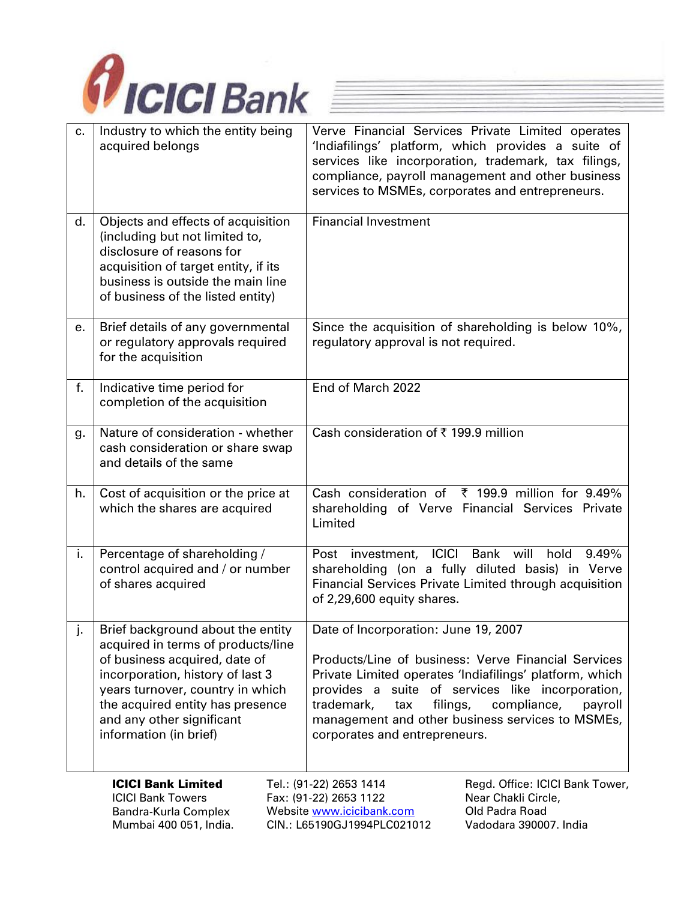

| c. | Industry to which the entity being<br>acquired belongs                                                                                                                                                                                                                      | Verve Financial Services Private Limited operates<br>'Indiafilings' platform, which provides a suite of<br>services like incorporation, trademark, tax filings,<br>compliance, payroll management and other business<br>services to MSMEs, corporates and entrepreneurs.                                                                                   |
|----|-----------------------------------------------------------------------------------------------------------------------------------------------------------------------------------------------------------------------------------------------------------------------------|------------------------------------------------------------------------------------------------------------------------------------------------------------------------------------------------------------------------------------------------------------------------------------------------------------------------------------------------------------|
| d. | Objects and effects of acquisition<br>(including but not limited to,<br>disclosure of reasons for<br>acquisition of target entity, if its<br>business is outside the main line<br>of business of the listed entity)                                                         | <b>Financial Investment</b>                                                                                                                                                                                                                                                                                                                                |
| е. | Brief details of any governmental<br>or regulatory approvals required<br>for the acquisition                                                                                                                                                                                | Since the acquisition of shareholding is below 10%,<br>regulatory approval is not required.                                                                                                                                                                                                                                                                |
| f. | Indicative time period for<br>completion of the acquisition                                                                                                                                                                                                                 | End of March 2022                                                                                                                                                                                                                                                                                                                                          |
| g. | Nature of consideration - whether<br>cash consideration or share swap<br>and details of the same                                                                                                                                                                            | Cash consideration of ₹199.9 million                                                                                                                                                                                                                                                                                                                       |
| h. | Cost of acquisition or the price at<br>which the shares are acquired                                                                                                                                                                                                        | Cash consideration of $\bar{x}$ 199.9 million for 9.49%<br>shareholding of Verve Financial Services Private<br>Limited                                                                                                                                                                                                                                     |
| i. | Percentage of shareholding /<br>control acquired and / or number<br>of shares acquired                                                                                                                                                                                      | Post investment, ICICI<br>Bank will<br>9.49%<br>hold<br>shareholding (on a fully diluted basis) in Verve<br>Financial Services Private Limited through acquisition<br>of 2,29,600 equity shares.                                                                                                                                                           |
|    | Brief background about the entity<br>acquired in terms of products/line<br>of business acquired, date of<br>incorporation, history of last 3<br>years turnover, country in which<br>the acquired entity has presence<br>and any other significant<br>information (in brief) | Date of Incorporation: June 19, 2007<br>Products/Line of business: Verve Financial Services<br>Private Limited operates 'Indiafilings' platform, which<br>provides a suite of services like incorporation,<br>trademark,<br>filings,<br>compliance,<br>tax<br>payroll<br>management and other business services to MSMEs,<br>corporates and entrepreneurs. |
|    | <b>ICICI Bank Limited</b><br><b>ICICI Bank Towers</b><br>Bandra-Kurla Complex<br>Mumbai 400 051, India.                                                                                                                                                                     | Tel.: (91-22) 2653 1414<br>Regd. Office: ICICI Bank Tower,<br>Fax: (91-22) 2653 1122<br>Near Chakli Circle,<br>Old Padra Road<br>Website www.icicibank.com<br>CIN.: L65190GJ1994PLC021012<br>Vadodara 390007. India                                                                                                                                        |